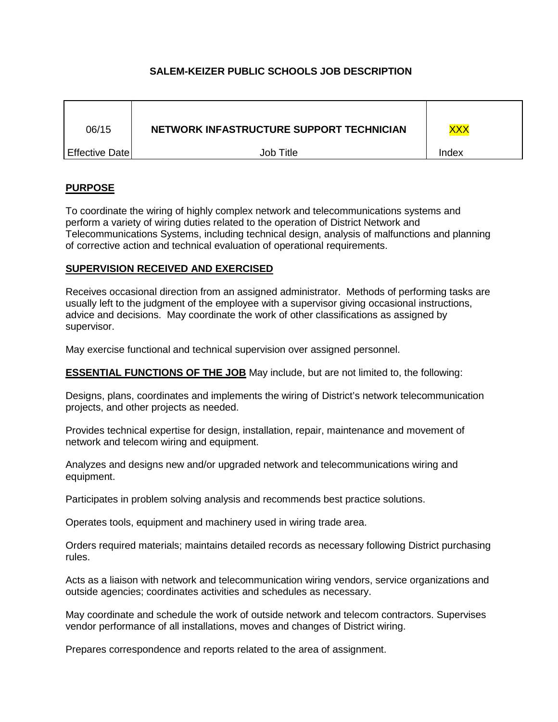# **SALEM-KEIZER PUBLIC SCHOOLS JOB DESCRIPTION**

| 06/15          | NETWORK INFASTRUCTURE SUPPORT TECHNICIAN | <b>XXX</b> |
|----------------|------------------------------------------|------------|
| Effective Date | Job Title                                | Index      |

# **PURPOSE**

To coordinate the wiring of highly complex network and telecommunications systems and perform a variety of wiring duties related to the operation of District Network and Telecommunications Systems, including technical design, analysis of malfunctions and planning of corrective action and technical evaluation of operational requirements.

#### **SUPERVISION RECEIVED AND EXERCISED**

Receives occasional direction from an assigned administrator. Methods of performing tasks are usually left to the judgment of the employee with a supervisor giving occasional instructions, advice and decisions. May coordinate the work of other classifications as assigned by supervisor.

May exercise functional and technical supervision over assigned personnel.

**ESSENTIAL FUNCTIONS OF THE JOB** May include, but are not limited to, the following:

Designs, plans, coordinates and implements the wiring of District's network telecommunication projects, and other projects as needed.

Provides technical expertise for design, installation, repair, maintenance and movement of network and telecom wiring and equipment.

Analyzes and designs new and/or upgraded network and telecommunications wiring and equipment.

Participates in problem solving analysis and recommends best practice solutions.

Operates tools, equipment and machinery used in wiring trade area.

Orders required materials; maintains detailed records as necessary following District purchasing rules.

Acts as a liaison with network and telecommunication wiring vendors, service organizations and outside agencies; coordinates activities and schedules as necessary.

May coordinate and schedule the work of outside network and telecom contractors. Supervises vendor performance of all installations, moves and changes of District wiring.

Prepares correspondence and reports related to the area of assignment.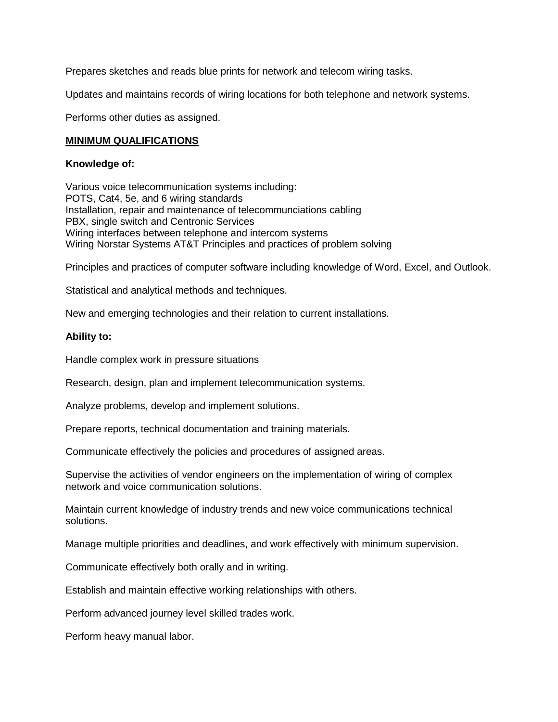Prepares sketches and reads blue prints for network and telecom wiring tasks.

Updates and maintains records of wiring locations for both telephone and network systems.

Performs other duties as assigned.

#### **MINIMUM QUALIFICATIONS**

#### **Knowledge of:**

Various voice telecommunication systems including: POTS, Cat4, 5e, and 6 wiring standards Installation, repair and maintenance of telecommunciations cabling PBX, single switch and Centronic Services Wiring interfaces between telephone and intercom systems Wiring Norstar Systems AT&T Principles and practices of problem solving

Principles and practices of computer software including knowledge of Word, Excel, and Outlook.

Statistical and analytical methods and techniques.

New and emerging technologies and their relation to current installations.

#### **Ability to:**

Handle complex work in pressure situations

Research, design, plan and implement telecommunication systems.

Analyze problems, develop and implement solutions.

Prepare reports, technical documentation and training materials.

Communicate effectively the policies and procedures of assigned areas.

Supervise the activities of vendor engineers on the implementation of wiring of complex network and voice communication solutions.

Maintain current knowledge of industry trends and new voice communications technical solutions.

Manage multiple priorities and deadlines, and work effectively with minimum supervision.

Communicate effectively both orally and in writing.

Establish and maintain effective working relationships with others.

Perform advanced journey level skilled trades work.

Perform heavy manual labor.